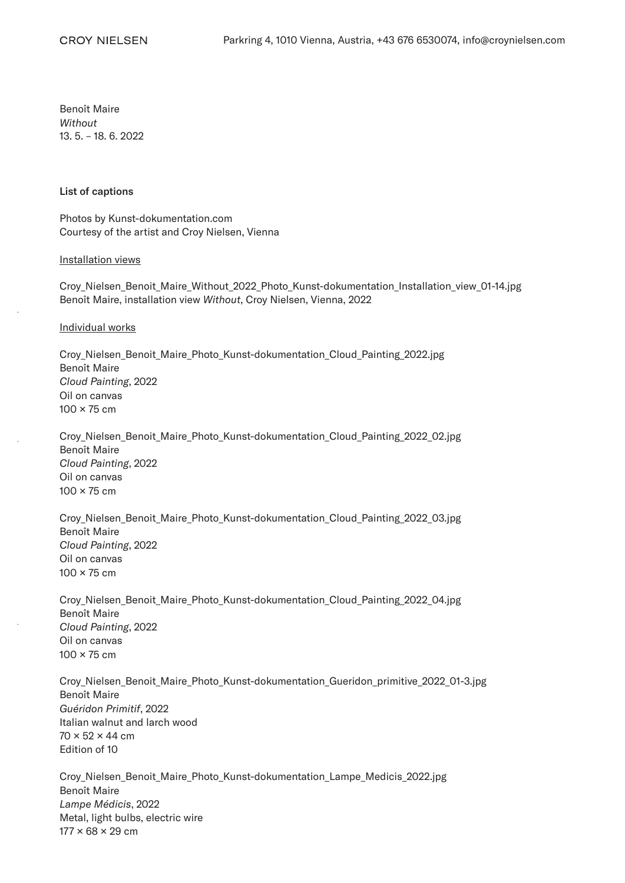Benoît Maire *Without* 13. 5. – 18. 6. 2022

## List of captions

Photos by Kunst-dokumentation.com Courtesy of the artist and Croy Nielsen, Vienna

## Installation views

Croy\_Nielsen\_Benoit\_Maire\_Without\_2022\_Photo\_Kunst-dokumentation\_Installation\_view\_01-14.jpg Benoît Maire, installation view *Without*, Croy Nielsen, Vienna, 2022

## Individual works

Croy\_Nielsen\_Benoit\_Maire\_Photo\_Kunst-dokumentation\_Cloud\_Painting\_2022.jpg Benoît Maire *Cloud Painting*, 2022 Oil on canvas 100 × 75 cm

Croy\_Nielsen\_Benoit\_Maire\_Photo\_Kunst-dokumentation\_Cloud\_Painting\_2022\_02.jpg Benoît Maire *Cloud Painting*, 2022 Oil on canvas  $100 \times 75$  cm

Croy\_Nielsen\_Benoit\_Maire\_Photo\_Kunst-dokumentation\_Cloud\_Painting\_2022\_03.jpg Benoît Maire *Cloud Painting*, 2022 Oil on canvas 100 × 75 cm

Croy\_Nielsen\_Benoit\_Maire\_Photo\_Kunst-dokumentation\_Cloud\_Painting\_2022\_04.jpg Benoît Maire *Cloud Painting*, 2022 Oil on canvas 100 × 75 cm

Croy\_Nielsen\_Benoit\_Maire\_Photo\_Kunst-dokumentation\_Gueridon\_primitive\_2022\_01-3.jpg Benoît Maire *Guéridon Primitif*, 2022 Italian walnut and larch wood  $70 \times 52 \times 44$  cm Edition of 10

Croy\_Nielsen\_Benoit\_Maire\_Photo\_Kunst-dokumentation\_Lampe\_Medicis\_2022.jpg Benoît Maire *Lampe Médicis*, 2022 Metal, light bulbs, electric wire  $177 \times 68 \times 29$  cm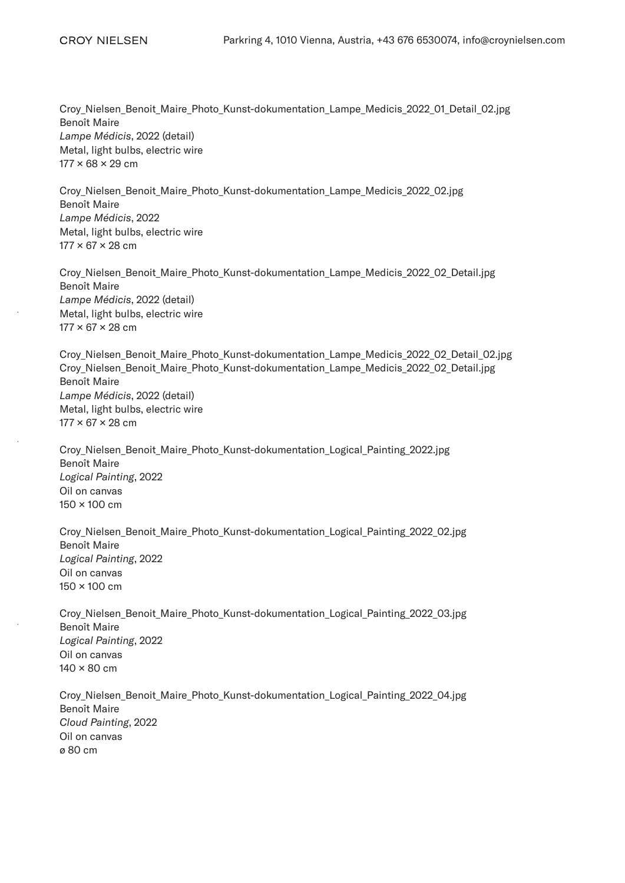Croy\_Nielsen\_Benoit\_Maire\_Photo\_Kunst-dokumentation\_Lampe\_Medicis\_2022\_01\_Detail\_02.jpg Benoît Maire *Lampe Médicis*, 2022 (detail) Metal, light bulbs, electric wire  $177 \times 68 \times 29$  cm

Croy\_Nielsen\_Benoit\_Maire\_Photo\_Kunst-dokumentation\_Lampe\_Medicis\_2022\_02.jpg Benoît Maire *Lampe Médicis*, 2022 Metal, light bulbs, electric wire 177 × 67 × 28 cm

Croy Nielsen Benoit Maire Photo Kunst-dokumentation Lampe Medicis 2022 02 Detail.jpg Benoît Maire *Lampe Médicis*, 2022 (detail) Metal, light bulbs, electric wire  $177 \times 67 \times 28$  cm

Croy\_Nielsen\_Benoit\_Maire\_Photo\_Kunst-dokumentation\_Lampe\_Medicis\_2022\_02\_Detail\_02.jpg Croy\_Nielsen\_Benoit\_Maire\_Photo\_Kunst-dokumentation\_Lampe\_Medicis\_2022\_02\_Detail.jpg Benoît Maire *Lampe Médicis*, 2022 (detail) Metal, light bulbs, electric wire  $177 \times 67 \times 28$  cm

Croy\_Nielsen\_Benoit\_Maire\_Photo\_Kunst-dokumentation\_Logical\_Painting\_2022.jpg Benoît Maire *Logical Painting*, 2022 Oil on canvas 150 × 100 cm

Croy\_Nielsen\_Benoit\_Maire\_Photo\_Kunst-dokumentation\_Logical\_Painting\_2022\_02.jpg Benoît Maire *Logical Painting*, 2022 Oil on canvas 150 × 100 cm

Croy\_Nielsen\_Benoit\_Maire\_Photo\_Kunst-dokumentation\_Logical\_Painting\_2022\_03.jpg Benoît Maire *Logical Painting*, 2022 Oil on canvas 140 × 80 cm

Croy\_Nielsen\_Benoit\_Maire\_Photo\_Kunst-dokumentation\_Logical\_Painting\_2022\_04.jpg Benoît Maire *Cloud Painting*, 2022 Oil on canvas ø 80 cm